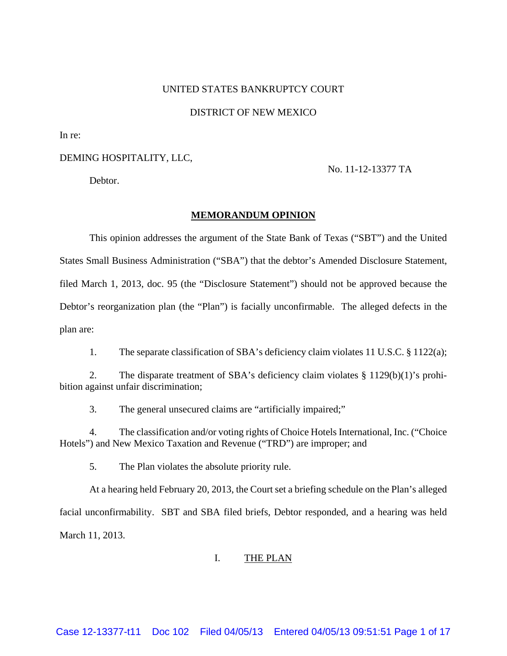#### UNITED STATES BANKRUPTCY COURT

#### DISTRICT OF NEW MEXICO

In re:

## DEMING HOSPITALITY, LLC,

Debtor.

# No. 11-12-13377 TA

#### **MEMORANDUM OPINION**

 This opinion addresses the argument of the State Bank of Texas ("SBT") and the United States Small Business Administration ("SBA") that the debtor's Amended Disclosure Statement, filed March 1, 2013, doc. 95 (the "Disclosure Statement") should not be approved because the Debtor's reorganization plan (the "Plan") is facially unconfirmable. The alleged defects in the plan are:

1. The separate classification of SBA's deficiency claim violates 11 U.S.C. § 1122(a);

 2. The disparate treatment of SBA's deficiency claim violates § 1129(b)(1)'s prohibition against unfair discrimination;

3. The general unsecured claims are "artificially impaired;"

 4. The classification and/or voting rights of Choice Hotels International, Inc. ("Choice Hotels") and New Mexico Taxation and Revenue ("TRD") are improper; and

5. The Plan violates the absolute priority rule.

 At a hearing held February 20, 2013, the Court set a briefing schedule on the Plan's alleged facial unconfirmability. SBT and SBA filed briefs, Debtor responded, and a hearing was held March 11, 2013.

## I. THE PLAN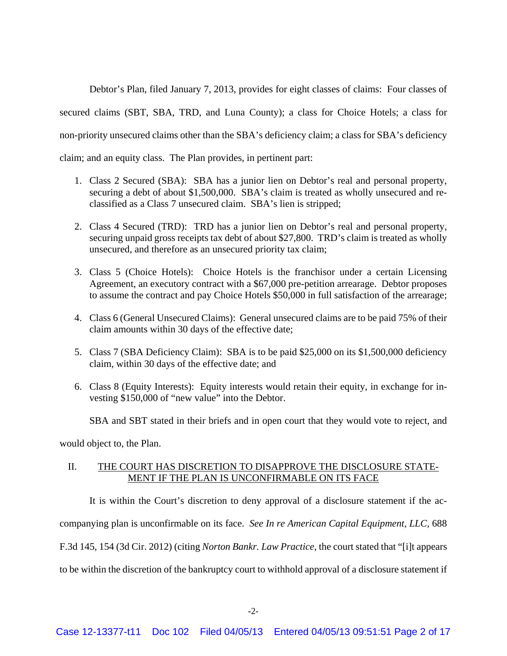Debtor's Plan, filed January 7, 2013, provides for eight classes of claims: Four classes of secured claims (SBT, SBA, TRD, and Luna County); a class for Choice Hotels; a class for non-priority unsecured claims other than the SBA's deficiency claim; a class for SBA's deficiency claim; and an equity class. The Plan provides, in pertinent part:

- 1. Class 2 Secured (SBA): SBA has a junior lien on Debtor's real and personal property, securing a debt of about \$1,500,000. SBA's claim is treated as wholly unsecured and reclassified as a Class 7 unsecured claim. SBA's lien is stripped;
- 2. Class 4 Secured (TRD): TRD has a junior lien on Debtor's real and personal property, securing unpaid gross receipts tax debt of about \$27,800. TRD's claim is treated as wholly unsecured, and therefore as an unsecured priority tax claim;
- 3. Class 5 (Choice Hotels): Choice Hotels is the franchisor under a certain Licensing Agreement, an executory contract with a \$67,000 pre-petition arrearage. Debtor proposes to assume the contract and pay Choice Hotels \$50,000 in full satisfaction of the arrearage;
- 4. Class 6 (General Unsecured Claims): General unsecured claims are to be paid 75% of their claim amounts within 30 days of the effective date;
- 5. Class 7 (SBA Deficiency Claim): SBA is to be paid \$25,000 on its \$1,500,000 deficiency claim, within 30 days of the effective date; and
- 6. Class 8 (Equity Interests): Equity interests would retain their equity, in exchange for investing \$150,000 of "new value" into the Debtor.

SBA and SBT stated in their briefs and in open court that they would vote to reject, and

would object to, the Plan.

# II. THE COURT HAS DISCRETION TO DISAPPROVE THE DISCLOSURE STATE-MENT IF THE PLAN IS UNCONFIRMABLE ON ITS FACE

 It is within the Court's discretion to deny approval of a disclosure statement if the accompanying plan is unconfirmable on its face. *See In re American Capital Equipment, LLC,* 688 F.3d 145, 154 (3d Cir. 2012) (citing *Norton Bankr. Law Practice*, the court stated that "[i]t appears to be within the discretion of the bankruptcy court to withhold approval of a disclosure statement if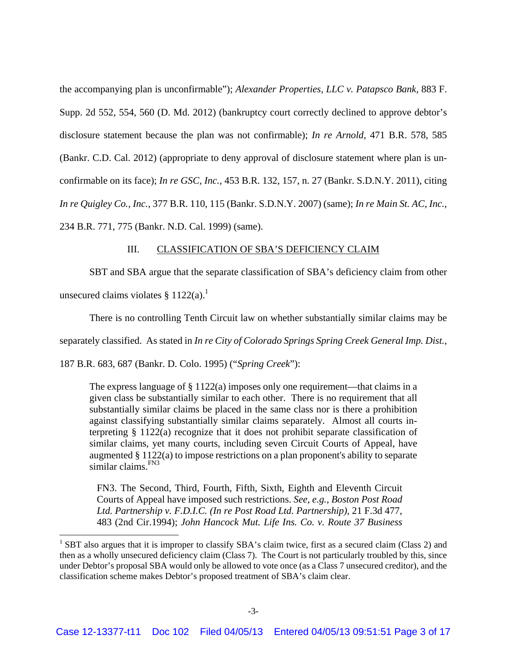the accompanying plan is unconfirmable"); *Alexander Properties, LLC v. Patapsco Bank,* 883 F. Supp. 2d 552, 554, 560 (D. Md. 2012) (bankruptcy court correctly declined to approve debtor's disclosure statement because the plan was not confirmable); *In re Arnold,* 471 B.R. 578, 585 (Bankr. C.D. Cal. 2012) (appropriate to deny approval of disclosure statement where plan is unconfirmable on its face); *In re GSC, Inc.,* 453 B.R. 132, 157, n. 27 (Bankr. S.D.N.Y. 2011), citing *In re Quigley Co., Inc.,* 377 B.R. 110, 115 (Bankr. S.D.N.Y. 2007) (same); *In re Main St. AC, Inc.*, 234 B.R. 771, 775 (Bankr. N.D. Cal. 1999) (same).

#### III. CLASSIFICATION OF SBA'S DEFICIENCY CLAIM

 SBT and SBA argue that the separate classification of SBA's deficiency claim from other unsecured claims violates §  $1122(a)$ .

There is no controlling Tenth Circuit law on whether substantially similar claims may be

separately classified. As stated in *In re City of Colorado Springs Spring Creek General Imp. Dist.,* 

187 B.R. 683, 687 (Bankr. D. Colo. 1995) ("*Spring Creek*"):

The express language of § 1122(a) imposes only one requirement—that claims in a given class be substantially similar to each other. There is no requirement that all substantially similar claims be placed in the same class nor is there a prohibition against classifying substantially similar claims separately. Almost all courts interpreting § 1122(a) recognize that it does not prohibit separate classification of similar claims, yet many courts, including seven Circuit Courts of Appeal, have augmented § 1122(a) to impose restrictions on a plan proponent's ability to separate similar claims.<sup>FN3</sup>

FN3. The Second, Third, Fourth, Fifth, Sixth, Eighth and Eleventh Circuit Courts of Appeal have imposed such restrictions. *See, e.g., Boston Post Road Ltd. Partnership v. F.D.I.C. (In re Post Road Ltd. Partnership),* 21 F.3d 477, 483 (2nd Cir.1994); *John Hancock Mut. Life Ins. Co. v. Route 37 Business* 

<sup>&</sup>lt;sup>1</sup> SBT also argues that it is improper to classify SBA's claim twice, first as a secured claim (Class 2) and then as a wholly unsecured deficiency claim (Class 7). The Court is not particularly troubled by this, since under Debtor's proposal SBA would only be allowed to vote once (as a Class 7 unsecured creditor), and the classification scheme makes Debtor's proposed treatment of SBA's claim clear.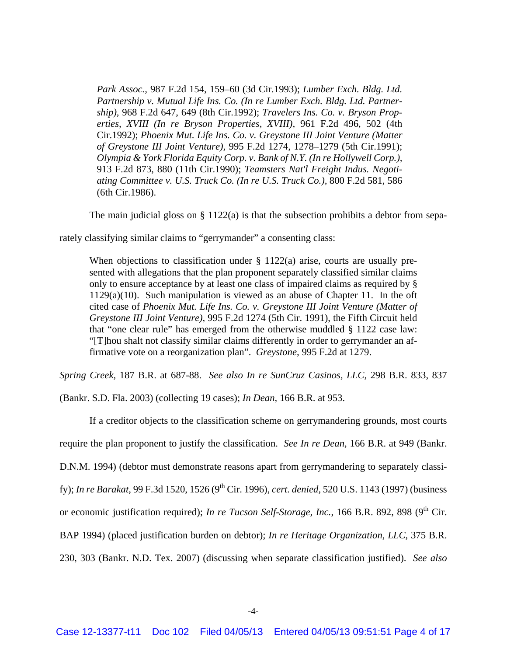*Park Assoc.,* 987 F.2d 154, 159–60 (3d Cir.1993); *Lumber Exch. Bldg. Ltd. Partnership v. Mutual Life Ins. Co. (In re Lumber Exch. Bldg. Ltd. Partnership),* 968 F.2d 647, 649 (8th Cir.1992); *Travelers Ins. Co. v. Bryson Properties, XVIII (In re Bryson Properties, XVIII),* 961 F.2d 496, 502 (4th Cir.1992); *Phoenix Mut. Life Ins. Co. v. Greystone III Joint Venture (Matter of Greystone III Joint Venture),* 995 F.2d 1274, 1278–1279 (5th Cir.1991); *Olympia & York Florida Equity Corp. v. Bank of N.Y. (In re Hollywell Corp.),* 913 F.2d 873, 880 (11th Cir.1990); *Teamsters Nat'l Freight Indus. Negotiating Committee v. U.S. Truck Co. (In re U.S. Truck Co.),* 800 F.2d 581, 586 (6th Cir.1986).

The main judicial gloss on  $\S 1122(a)$  is that the subsection prohibits a debtor from sepa-

rately classifying similar claims to "gerrymander" a consenting class:

When objections to classification under § 1122(a) arise, courts are usually presented with allegations that the plan proponent separately classified similar claims only to ensure acceptance by at least one class of impaired claims as required by § 1129(a)(10). Such manipulation is viewed as an abuse of Chapter 11. In the oft cited case of *Phoenix Mut. Life Ins. Co. v. Greystone III Joint Venture (Matter of Greystone III Joint Venture),* 995 F.2d 1274 (5th Cir. 1991), the Fifth Circuit held that "one clear rule" has emerged from the otherwise muddled § 1122 case law: "[T]hou shalt not classify similar claims differently in order to gerrymander an affirmative vote on a reorganization plan". *Greystone,* 995 F.2d at 1279.

*Spring Creek,* 187 B.R. at 687-88. *See also In re SunCruz Casinos, LLC,* 298 B.R. 833, 837

(Bankr. S.D. Fla. 2003) (collecting 19 cases); *In Dean,* 166 B.R. at 953.

 If a creditor objects to the classification scheme on gerrymandering grounds, most courts require the plan proponent to justify the classification. *See In re Dean,* 166 B.R. at 949 (Bankr. D.N.M. 1994) (debtor must demonstrate reasons apart from gerrymandering to separately classify); *In re Barakat,* 99 F.3d 1520, 1526 (9th Cir. 1996), *cert. denied,* 520 U.S. 1143 (1997) (business or economic justification required); *In re Tucson Self-Storage, Inc.*, 166 B.R. 892, 898 (9<sup>th</sup> Cir. BAP 1994) (placed justification burden on debtor); *In re Heritage Organization, LLC*, 375 B.R. 230, 303 (Bankr. N.D. Tex. 2007) (discussing when separate classification justified). *See also*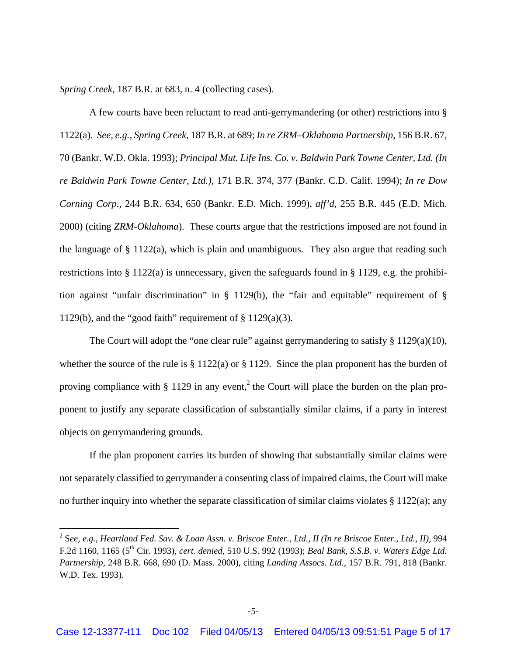*Spring Creek*, 187 B.R. at 683, n. 4 (collecting cases).

 A few courts have been reluctant to read anti-gerrymandering (or other) restrictions into § 1122(a). *See, e.g., Spring Creek,* 187 B.R. at 689; *In re ZRM–Oklahoma Partnership,* 156 B.R. 67, 70 (Bankr. W.D. Okla. 1993); *Principal Mut. Life Ins. Co. v. Baldwin Park Towne Center, Ltd. (In re Baldwin Park Towne Center, Ltd.),* 171 B.R. 374, 377 (Bankr. C.D. Calif. 1994); *In re Dow Corning Corp.*, 244 B.R. 634, 650 (Bankr. E.D. Mich. 1999), *aff'd*, 255 B.R. 445 (E.D. Mich. 2000) (citing *ZRM-Oklahoma*). These courts argue that the restrictions imposed are not found in the language of § 1122(a), which is plain and unambiguous. They also argue that reading such restrictions into § 1122(a) is unnecessary, given the safeguards found in § 1129, e.g. the prohibition against "unfair discrimination" in § 1129(b), the "fair and equitable" requirement of § 1129(b), and the "good faith" requirement of § 1129(a)(3).

The Court will adopt the "one clear rule" against gerrymandering to satisfy § 1129(a)(10), whether the source of the rule is § 1122(a) or § 1129. Since the plan proponent has the burden of proving compliance with  $\S 1129$  in any event,<sup>2</sup> the Court will place the burden on the plan proponent to justify any separate classification of substantially similar claims, if a party in interest objects on gerrymandering grounds.

 If the plan proponent carries its burden of showing that substantially similar claims were not separately classified to gerrymander a consenting class of impaired claims, the Court will make no further inquiry into whether the separate classification of similar claims violates § 1122(a); any

<sup>2</sup> S*ee, e.g., Heartland Fed. Sav. & Loan Assn. v. Briscoe Enter., Ltd., II (In re Briscoe Enter., Ltd., II)*, 994 F.2d 1160, 1165 (5th Cir. 1993), *cert. denied*, 510 U.S. 992 (1993); *Beal Bank, S.S.B. v. Waters Edge Ltd. Partnership*, 248 B.R. 668, 690 (D. Mass. 2000), citing *Landing Assocs. Ltd.,* 157 B.R. 791, 818 (Bankr. W.D. Tex. 1993).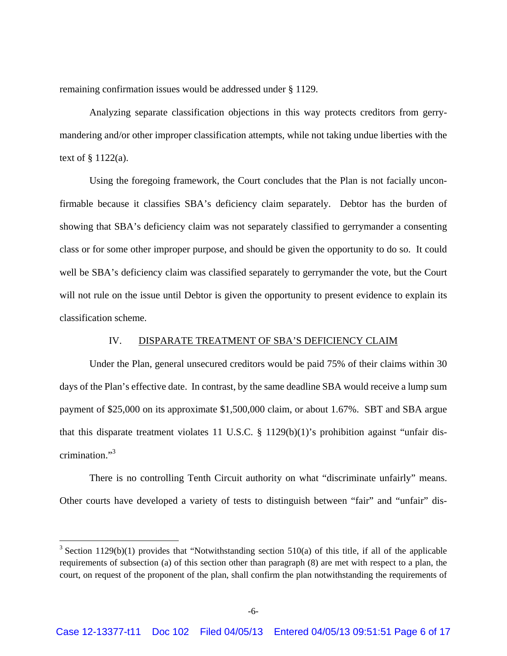remaining confirmation issues would be addressed under § 1129.

 Analyzing separate classification objections in this way protects creditors from gerrymandering and/or other improper classification attempts, while not taking undue liberties with the text of  $\S 1122(a)$ .

 Using the foregoing framework, the Court concludes that the Plan is not facially unconfirmable because it classifies SBA's deficiency claim separately. Debtor has the burden of showing that SBA's deficiency claim was not separately classified to gerrymander a consenting class or for some other improper purpose, and should be given the opportunity to do so. It could well be SBA's deficiency claim was classified separately to gerrymander the vote, but the Court will not rule on the issue until Debtor is given the opportunity to present evidence to explain its classification scheme.

## IV. DISPARATE TREATMENT OF SBA'S DEFICIENCY CLAIM

 Under the Plan, general unsecured creditors would be paid 75% of their claims within 30 days of the Plan's effective date. In contrast, by the same deadline SBA would receive a lump sum payment of \$25,000 on its approximate \$1,500,000 claim, or about 1.67%. SBT and SBA argue that this disparate treatment violates 11 U.S.C. § 1129(b)(1)'s prohibition against "unfair discrimination."3

 There is no controlling Tenth Circuit authority on what "discriminate unfairly" means. Other courts have developed a variety of tests to distinguish between "fair" and "unfair" dis-

<sup>&</sup>lt;sup>3</sup> Section 1129(b)(1) provides that "Notwithstanding section 510(a) of this title, if all of the applicable requirements of subsection (a) of this section other than paragraph (8) are met with respect to a plan, the court, on request of the proponent of the plan, shall confirm the plan notwithstanding the requirements of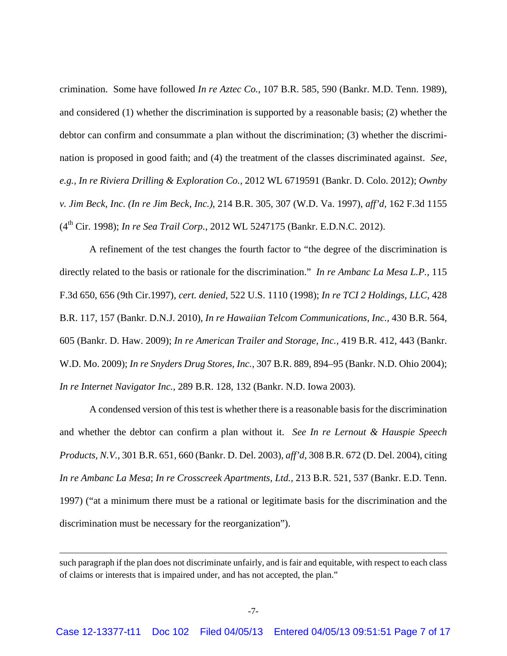crimination. Some have followed *In re Aztec Co.,* 107 B.R. 585, 590 (Bankr. M.D. Tenn. 1989), and considered (1) whether the discrimination is supported by a reasonable basis; (2) whether the debtor can confirm and consummate a plan without the discrimination; (3) whether the discrimination is proposed in good faith; and (4) the treatment of the classes discriminated against. *See, e.g., In re Riviera Drilling & Exploration Co.,* 2012 WL 6719591 (Bankr. D. Colo. 2012); *Ownby v. Jim Beck, Inc. (In re Jim Beck, Inc.)*, 214 B.R. 305, 307 (W.D. Va. 1997), *aff'd,* 162 F.3d 1155 (4th Cir. 1998); *In re Sea Trail Corp.*, 2012 WL 5247175 (Bankr. E.D.N.C. 2012).

 A refinement of the test changes the fourth factor to "the degree of the discrimination is directly related to the basis or rationale for the discrimination." *In re Ambanc La Mesa L.P.,* 115 F.3d 650, 656 (9th Cir.1997), *cert. denied,* 522 U.S. 1110 (1998); *In re TCI 2 Holdings, LLC*, 428 B.R. 117, 157 (Bankr. D.N.J. 2010)*, In re Hawaiian Telcom Communications, Inc.,* 430 B.R. 564, 605 (Bankr. D. Haw. 2009); *In re American Trailer and Storage, Inc.,* 419 B.R. 412, 443 (Bankr. W.D. Mo. 2009); *In re Snyders Drug Stores, Inc.,* 307 B.R. 889, 894–95 (Bankr. N.D. Ohio 2004); *In re Internet Navigator Inc.,* 289 B.R. 128, 132 (Bankr. N.D. Iowa 2003).

 A condensed version of this test is whether there is a reasonable basis for the discrimination and whether the debtor can confirm a plan without it. *See In re Lernout & Hauspie Speech Products, N.V.,* 301 B.R. 651, 660 (Bankr. D. Del. 2003), *aff'd,* 308 B.R. 672 (D. Del. 2004), citing *In re Ambanc La Mesa*; *In re Crosscreek Apartments, Ltd.,* 213 B.R. 521, 537 (Bankr. E.D. Tenn. 1997) ("at a minimum there must be a rational or legitimate basis for the discrimination and the discrimination must be necessary for the reorganization").

<u> 1989 - Johann Stein, marwolaethau a gweledydd a ganlad y ganlad y ganlad y ganlad y ganlad y ganlad y ganlad</u>

such paragraph if the plan does not discriminate unfairly, and is fair and equitable, with respect to each class of claims or interests that is impaired under, and has not accepted, the plan."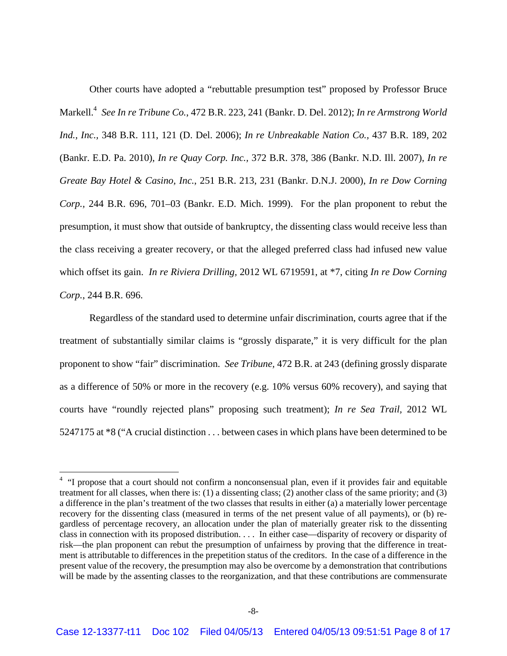Other courts have adopted a "rebuttable presumption test" proposed by Professor Bruce Markell.4 *See In re Tribune Co.*, 472 B.R. 223, 241 (Bankr. D. Del. 2012); *In re Armstrong World Ind., Inc.,* 348 B.R. 111, 121 (D. Del. 2006); *In re Unbreakable Nation Co.,* 437 B.R. 189, 202 (Bankr. E.D. Pa. 2010), *In re Quay Corp. Inc.,* 372 B.R. 378, 386 (Bankr. N.D. Ill. 2007), *In re Greate Bay Hotel & Casino, Inc.*, 251 B.R. 213, 231 (Bankr. D.N.J. 2000), *In re Dow Corning Corp.,* 244 B.R. 696, 701–03 (Bankr. E.D. Mich. 1999). For the plan proponent to rebut the presumption, it must show that outside of bankruptcy, the dissenting class would receive less than the class receiving a greater recovery, or that the alleged preferred class had infused new value which offset its gain. *In re Riviera Drilling,* 2012 WL 6719591, at \*7, citing *In re Dow Corning Corp.*, 244 B.R. 696.

 Regardless of the standard used to determine unfair discrimination, courts agree that if the treatment of substantially similar claims is "grossly disparate," it is very difficult for the plan proponent to show "fair" discrimination. *See Tribune,* 472 B.R. at 243 (defining grossly disparate as a difference of 50% or more in the recovery (e.g. 10% versus 60% recovery), and saying that courts have "roundly rejected plans" proposing such treatment); *In re Sea Trail,* 2012 WL 5247175 at \*8 ("A crucial distinction . . . between cases in which plans have been determined to be

<sup>&</sup>lt;sup>4</sup> "I propose that a court should not confirm a nonconsensual plan, even if it provides fair and equitable treatment for all classes, when there is: (1) a dissenting class; (2) another class of the same priority; and (3) a difference in the plan's treatment of the two classes that results in either (a) a materially lower percentage recovery for the dissenting class (measured in terms of the net present value of all payments), or (b) regardless of percentage recovery, an allocation under the plan of materially greater risk to the dissenting class in connection with its proposed distribution. . . . In either case—disparity of recovery or disparity of risk—the plan proponent can rebut the presumption of unfairness by proving that the difference in treatment is attributable to differences in the prepetition status of the creditors. In the case of a difference in the present value of the recovery, the presumption may also be overcome by a demonstration that contributions will be made by the assenting classes to the reorganization, and that these contributions are commensurate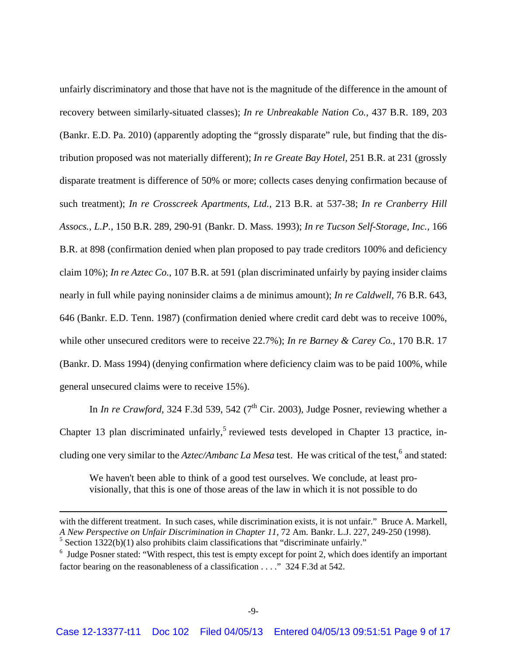unfairly discriminatory and those that have not is the magnitude of the difference in the amount of recovery between similarly-situated classes); *In re Unbreakable Nation Co.,* 437 B.R. 189, 203 (Bankr. E.D. Pa. 2010) (apparently adopting the "grossly disparate" rule, but finding that the distribution proposed was not materially different); *In re Greate Bay Hotel,* 251 B.R. at 231 (grossly disparate treatment is difference of 50% or more; collects cases denying confirmation because of such treatment); *In re Crosscreek Apartments, Ltd.,* 213 B.R. at 537-38; *In re Cranberry Hill Assocs., L.P.,* 150 B.R. 289, 290-91 (Bankr. D. Mass. 1993); *In re Tucson Self-Storage, Inc.,* 166 B.R. at 898 (confirmation denied when plan proposed to pay trade creditors 100% and deficiency claim 10%); *In re Aztec Co.*, 107 B.R. at 591 (plan discriminated unfairly by paying insider claims nearly in full while paying noninsider claims a de minimus amount); *In re Caldwell,* 76 B.R. 643, 646 (Bankr. E.D. Tenn. 1987) (confirmation denied where credit card debt was to receive 100%, while other unsecured creditors were to receive 22.7%); *In re Barney & Carey Co.*, 170 B.R. 17 (Bankr. D. Mass 1994) (denying confirmation where deficiency claim was to be paid 100%, while general unsecured claims were to receive 15%).

In *In re Crawford*, 324 F.3d 539, 542 ( $7<sup>th</sup>$  Cir. 2003), Judge Posner, reviewing whether a Chapter 13 plan discriminated unfairly,<sup>5</sup> reviewed tests developed in Chapter 13 practice, including one very similar to the *Aztec/Ambanc La Mesa* test. He was critical of the test,<sup>6</sup> and stated:

We haven't been able to think of a good test ourselves. We conclude, at least provisionally, that this is one of those areas of the law in which it is not possible to do

<u> 1989 - Johann Stein, marwolaethau a gweledydd a ganlad y ganlad y ganlad y ganlad y ganlad y ganlad y ganlad</u>

with the different treatment. In such cases, while discrimination exists, it is not unfair." Bruce A. Markell, *A New Perspective on Unfair Discrimination in Chapter 11,* 72 Am. Bankr. L.J. 227, 249-250 (1998).  $<sup>5</sup>$  Section 1322(b)(1) also prohibits claim classifications that "discriminate unfairly."</sup>

 $6$  Judge Posner stated: "With respect, this test is empty except for point 2, which does identify an important factor bearing on the reasonableness of a classification . . . ." 324 F.3d at 542.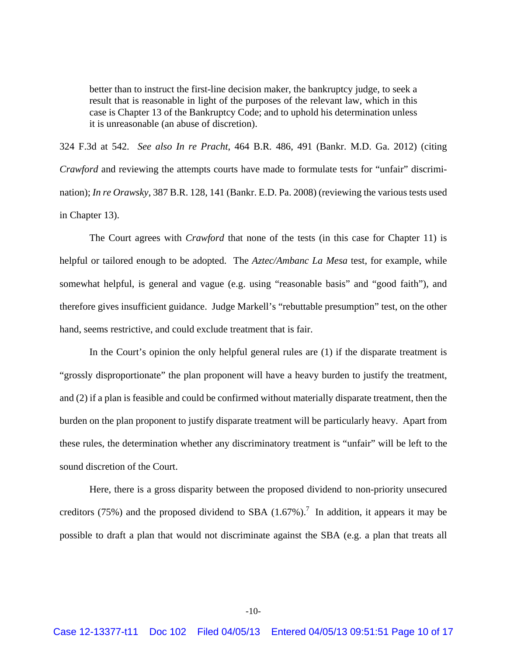better than to instruct the first-line decision maker, the bankruptcy judge, to seek a result that is reasonable in light of the purposes of the relevant law, which in this case is Chapter 13 of the Bankruptcy Code; and to uphold his determination unless it is unreasonable (an abuse of discretion).

324 F.3d at 542. *See also In re Pracht*, 464 B.R. 486, 491 (Bankr. M.D. Ga. 2012) (citing *Crawford* and reviewing the attempts courts have made to formulate tests for "unfair" discrimination); *In re Orawsky*, 387 B.R. 128, 141 (Bankr. E.D. Pa. 2008) (reviewing the various tests used in Chapter 13).

 The Court agrees with *Crawford* that none of the tests (in this case for Chapter 11) is helpful or tailored enough to be adopted. The *Aztec/Ambanc La Mesa* test, for example, while somewhat helpful, is general and vague (e.g. using "reasonable basis" and "good faith"), and therefore gives insufficient guidance. Judge Markell's "rebuttable presumption" test, on the other hand, seems restrictive, and could exclude treatment that is fair.

 In the Court's opinion the only helpful general rules are (1) if the disparate treatment is "grossly disproportionate" the plan proponent will have a heavy burden to justify the treatment, and (2) if a plan is feasible and could be confirmed without materially disparate treatment, then the burden on the plan proponent to justify disparate treatment will be particularly heavy. Apart from these rules, the determination whether any discriminatory treatment is "unfair" will be left to the sound discretion of the Court.

 Here, there is a gross disparity between the proposed dividend to non-priority unsecured creditors (75%) and the proposed dividend to SBA (1.67%).<sup>7</sup> In addition, it appears it may be possible to draft a plan that would not discriminate against the SBA (e.g. a plan that treats all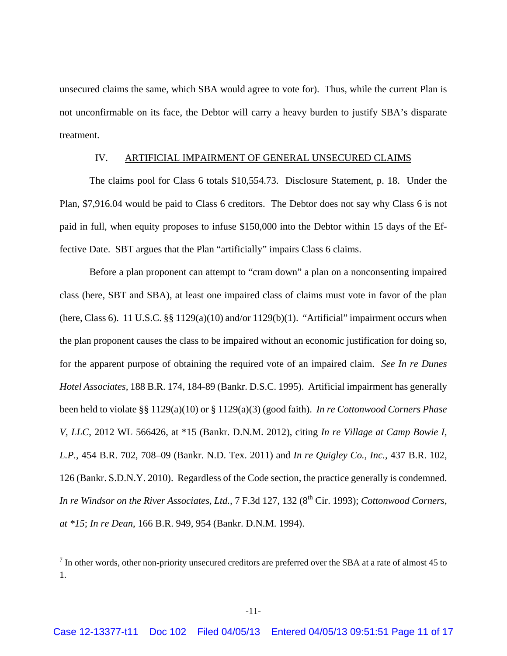unsecured claims the same, which SBA would agree to vote for). Thus, while the current Plan is not unconfirmable on its face, the Debtor will carry a heavy burden to justify SBA's disparate treatment.

#### IV. ARTIFICIAL IMPAIRMENT OF GENERAL UNSECURED CLAIMS

 The claims pool for Class 6 totals \$10,554.73. Disclosure Statement, p. 18. Under the Plan, \$7,916.04 would be paid to Class 6 creditors. The Debtor does not say why Class 6 is not paid in full, when equity proposes to infuse \$150,000 into the Debtor within 15 days of the Effective Date. SBT argues that the Plan "artificially" impairs Class 6 claims.

 Before a plan proponent can attempt to "cram down" a plan on a nonconsenting impaired class (here, SBT and SBA), at least one impaired class of claims must vote in favor of the plan (here, Class 6). 11 U.S.C.  $\S$  1129(a)(10) and/or 1129(b)(1). "Artificial" impairment occurs when the plan proponent causes the class to be impaired without an economic justification for doing so, for the apparent purpose of obtaining the required vote of an impaired claim. *See In re Dunes Hotel Associates,* 188 B.R. 174, 184-89 (Bankr. D.S.C. 1995). Artificial impairment has generally been held to violate §§ 1129(a)(10) or § 1129(a)(3) (good faith). *In re Cottonwood Corners Phase V, LLC*, 2012 WL 566426, at \*15 (Bankr. D.N.M. 2012), citing *In re Village at Camp Bowie I, L.P.,* 454 B.R. 702, 708–09 (Bankr. N.D. Tex. 2011) and *In re Quigley Co., Inc.,* 437 B.R. 102, 126 (Bankr. S.D.N.Y. 2010). Regardless of the Code section, the practice generally is condemned. *In re Windsor on the River Associates, Ltd., 7 F.3d 127, 132 (8<sup>th</sup> Cir. 1993); <i>Cottonwood Corners, at \*15*; *In re Dean*, 166 B.R. 949, 954 (Bankr. D.N.M. 1994).

 <sup>7</sup> In other words, other non-priority unsecured creditors are preferred over the SBA at a rate of almost 45 to 1.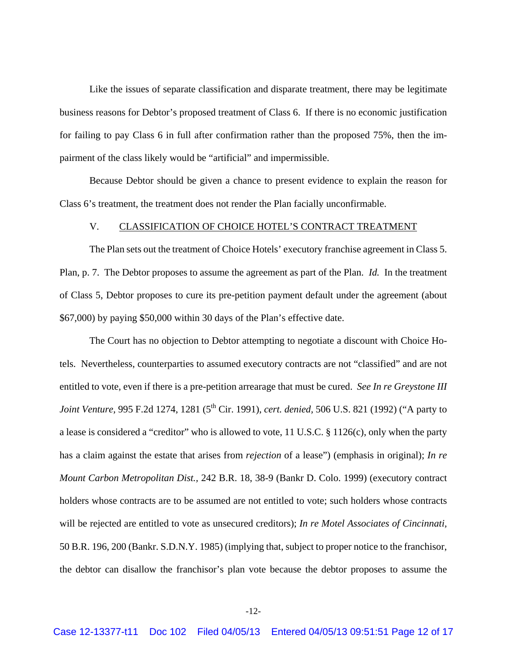Like the issues of separate classification and disparate treatment, there may be legitimate business reasons for Debtor's proposed treatment of Class 6. If there is no economic justification for failing to pay Class 6 in full after confirmation rather than the proposed 75%, then the impairment of the class likely would be "artificial" and impermissible.

 Because Debtor should be given a chance to present evidence to explain the reason for Class 6's treatment, the treatment does not render the Plan facially unconfirmable.

#### V. CLASSIFICATION OF CHOICE HOTEL'S CONTRACT TREATMENT

 The Plan sets out the treatment of Choice Hotels' executory franchise agreement in Class 5. Plan, p. 7. The Debtor proposes to assume the agreement as part of the Plan. *Id.* In the treatment of Class 5, Debtor proposes to cure its pre-petition payment default under the agreement (about \$67,000) by paying \$50,000 within 30 days of the Plan's effective date.

 The Court has no objection to Debtor attempting to negotiate a discount with Choice Hotels. Nevertheless, counterparties to assumed executory contracts are not "classified" and are not entitled to vote, even if there is a pre-petition arrearage that must be cured. *See In re Greystone III Joint Venture, 995 F.2d 1274, 1281 (5<sup>th</sup> Cir. 1991), <i>cert. denied, 506 U.S. 821 (1992)* ("A party to a lease is considered a "creditor" who is allowed to vote, 11 U.S.C. § 1126(c), only when the party has a claim against the estate that arises from *rejection* of a lease") (emphasis in original); *In re Mount Carbon Metropolitan Dist.,* 242 B.R. 18, 38-9 (Bankr D. Colo. 1999) (executory contract holders whose contracts are to be assumed are not entitled to vote; such holders whose contracts will be rejected are entitled to vote as unsecured creditors); *In re Motel Associates of Cincinnati,*  50 B.R. 196, 200 (Bankr. S.D.N.Y. 1985) (implying that, subject to proper notice to the franchisor, the debtor can disallow the franchisor's plan vote because the debtor proposes to assume the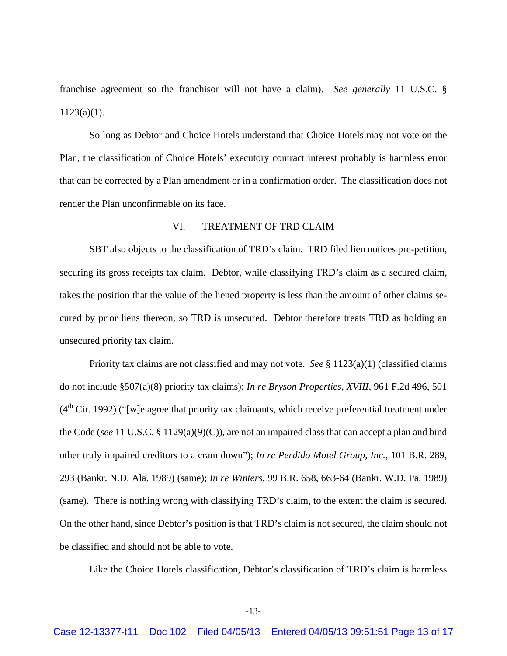franchise agreement so the franchisor will not have a claim). *See generally* 11 U.S.C. §  $1123(a)(1)$ .

 So long as Debtor and Choice Hotels understand that Choice Hotels may not vote on the Plan, the classification of Choice Hotels' executory contract interest probably is harmless error that can be corrected by a Plan amendment or in a confirmation order. The classification does not render the Plan unconfirmable on its face.

#### VI. TREATMENT OF TRD CLAIM

 SBT also objects to the classification of TRD's claim. TRD filed lien notices pre-petition, securing its gross receipts tax claim. Debtor, while classifying TRD's claim as a secured claim, takes the position that the value of the liened property is less than the amount of other claims secured by prior liens thereon, so TRD is unsecured. Debtor therefore treats TRD as holding an unsecured priority tax claim.

 Priority tax claims are not classified and may not vote. *See* § 1123(a)(1) (classified claims do not include §507(a)(8) priority tax claims); *In re Bryson Properties, XVIII,* 961 F.2d 496, 501  $(4<sup>th</sup> Cir. 1992)$  ("[w]e agree that priority tax claimants, which receive preferential treatment under the Code (*see* 11 U.S.C. § 1129(a)(9)(C)), are not an impaired class that can accept a plan and bind other truly impaired creditors to a cram down"); *In re Perdido Motel Group, Inc.,* 101 B.R. 289, 293 (Bankr. N.D. Ala. 1989) (same); *In re Winters,* 99 B.R. 658, 663-64 (Bankr. W.D. Pa. 1989) (same). There is nothing wrong with classifying TRD's claim, to the extent the claim is secured. On the other hand, since Debtor's position is that TRD's claim is not secured, the claim should not be classified and should not be able to vote.

Like the Choice Hotels classification, Debtor's classification of TRD's claim is harmless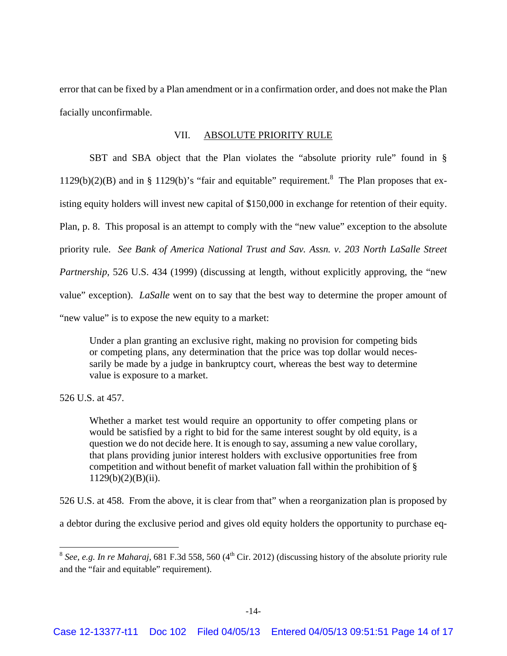error that can be fixed by a Plan amendment or in a confirmation order, and does not make the Plan facially unconfirmable.

#### VII. ABSOLUTE PRIORITY RULE

 SBT and SBA object that the Plan violates the "absolute priority rule" found in §  $1129(b)(2)(B)$  and in § 1129(b)'s "fair and equitable" requirement.<sup>8</sup> The Plan proposes that existing equity holders will invest new capital of \$150,000 in exchange for retention of their equity. Plan, p. 8. This proposal is an attempt to comply with the "new value" exception to the absolute priority rule. *See Bank of America National Trust and Sav. Assn. v. 203 North LaSalle Street Partnership,* 526 U.S. 434 (1999) (discussing at length, without explicitly approving, the "new value" exception). *LaSalle* went on to say that the best way to determine the proper amount of "new value" is to expose the new equity to a market:

Under a plan granting an exclusive right, making no provision for competing bids or competing plans, any determination that the price was top dollar would necessarily be made by a judge in bankruptcy court, whereas the best way to determine value is exposure to a market.

526 U.S. at 457.

Whether a market test would require an opportunity to offer competing plans or would be satisfied by a right to bid for the same interest sought by old equity, is a question we do not decide here. It is enough to say, assuming a new value corollary, that plans providing junior interest holders with exclusive opportunities free from competition and without benefit of market valuation fall within the prohibition of §  $1129(b)(2)(B)(ii)$ .

526 U.S. at 458. From the above, it is clear from that" when a reorganization plan is proposed by

a debtor during the exclusive period and gives old equity holders the opportunity to purchase eq-

 $8$  *See, e.g. In re Maharaj,* 681 F.3d 558, 560 (4<sup>th</sup> Cir. 2012) (discussing history of the absolute priority rule and the "fair and equitable" requirement).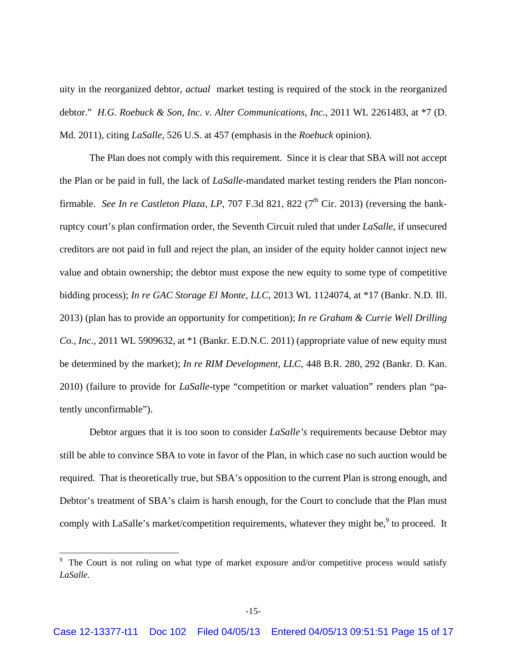uity in the reorganized debtor, *actual* market testing is required of the stock in the reorganized debtor." *H.G. Roebuck & Son, Inc. v. Alter Communications, Inc.,* 2011 WL 2261483, at \*7 (D. Md. 2011), citing *LaSalle*, 526 U.S. at 457 (emphasis in the *Roebuck* opinion).

 The Plan does not comply with this requirement. Since it is clear that SBA will not accept the Plan or be paid in full, the lack of *LaSalle-*mandated market testing renders the Plan nonconfirmable. *See In re Castleton Plaza, LP, 707 F.3d 821, 822 (7<sup>th</sup> Cir. 2013)* (reversing the bankruptcy court's plan confirmation order, the Seventh Circuit ruled that under *LaSalle,* if unsecured creditors are not paid in full and reject the plan, an insider of the equity holder cannot inject new value and obtain ownership; the debtor must expose the new equity to some type of competitive bidding process); *In re GAC Storage El Monte, LLC*, 2013 WL 1124074, at \*17 (Bankr. N.D. Ill. 2013) (plan has to provide an opportunity for competition); *In re Graham & Currie Well Drilling Co., Inc.,* 2011 WL 5909632, at \*1 (Bankr. E.D.N.C. 2011) (appropriate value of new equity must be determined by the market); *In re RIM Development, LLC,* 448 B.R. 280, 292 (Bankr. D. Kan. 2010) (failure to provide for *LaSalle*-type "competition or market valuation" renders plan "patently unconfirmable").

 Debtor argues that it is too soon to consider *LaSalle's* requirements because Debtor may still be able to convince SBA to vote in favor of the Plan, in which case no such auction would be required. That is theoretically true, but SBA's opposition to the current Plan is strong enough, and Debtor's treatment of SBA's claim is harsh enough, for the Court to conclude that the Plan must comply with LaSalle's market/competition requirements, whatever they might be,<sup>9</sup> to proceed. It

<sup>&</sup>lt;sup>9</sup> The Court is not ruling on what type of market exposure and/or competitive process would satisfy *LaSalle*.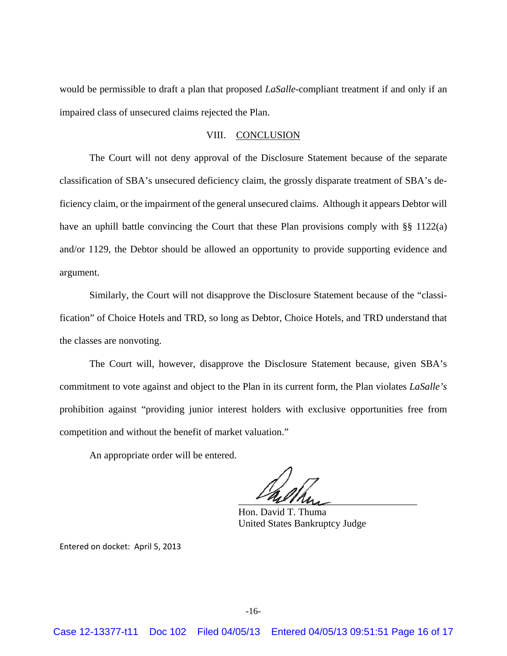would be permissible to draft a plan that proposed *LaSalle*-compliant treatment if and only if an impaired class of unsecured claims rejected the Plan.

# VIII. CONCLUSION

 The Court will not deny approval of the Disclosure Statement because of the separate classification of SBA's unsecured deficiency claim, the grossly disparate treatment of SBA's deficiency claim, or the impairment of the general unsecured claims. Although it appears Debtor will have an uphill battle convincing the Court that these Plan provisions comply with §§ 1122(a) and/or 1129, the Debtor should be allowed an opportunity to provide supporting evidence and argument.

 Similarly, the Court will not disapprove the Disclosure Statement because of the "classification" of Choice Hotels and TRD, so long as Debtor, Choice Hotels, and TRD understand that the classes are nonvoting.

 The Court will, however, disapprove the Disclosure Statement because, given SBA's commitment to vote against and object to the Plan in its current form, the Plan violates *LaSalle's*  prohibition against "providing junior interest holders with exclusive opportunities free from competition and without the benefit of market valuation."

An appropriate order will be entered.

 $mu$ 

 Hon. David T. Thuma United States Bankruptcy Judge

Entered on docket: April 5, 2013